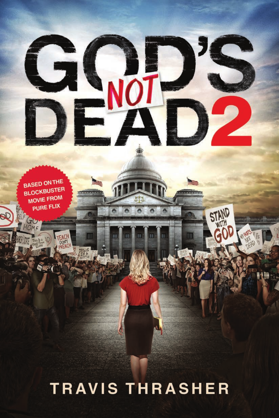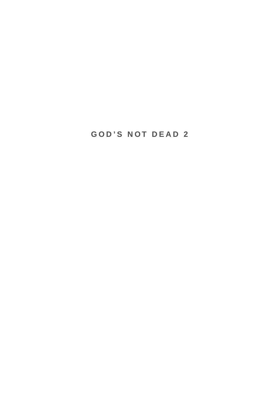## **GOD'S NOT DEAD 2**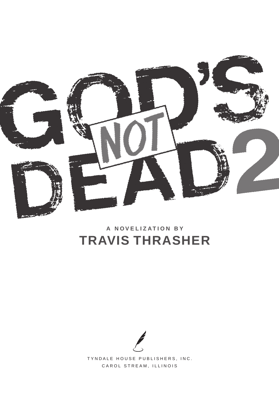

# A NOVELIZATION BY **TRAVIS THRASHER**

TYNDALE HOUSE PUBLISHERS, INC. CAROL STREAM, ILLINOIS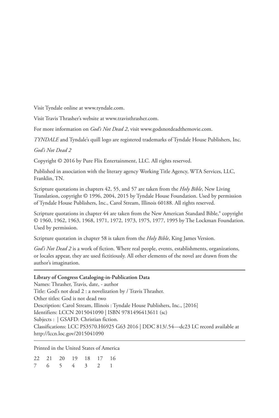Visit Tyndale online at www.tyndale.com.

Visit Travis Thrasher's website at www.travisthrasher.com.

For more information on *God's Not Dead 2*, visit www.godsnotdeadthemovie.com.

*TYNDALE* and Tyndale's quill logo are registered trademarks of Tyndale House Publishers, Inc.

*God's Not Dead 2*

Copyright © 2016 by Pure Flix Entertainment, LLC. All rights reserved.

Published in association with the literary agency Working Title Agency, WTA Services, LLC, Franklin, TN.

Scripture quotations in chapters 42, 55, and 57 are taken from the *Holy Bible*, New Living Translation, copyright © 1996, 2004, 2015 by Tyndale House Foundation. Used by permission of Tyndale House Publishers, Inc., Carol Stream, Illinois 60188. All rights reserved.

Scripture quotations in chapter 44 are taken from the New American Standard Bible,<sup>®</sup> copyright © 1960, 1962, 1963, 1968, 1971, 1972, 1973, 1975, 1977, 1995 by The Lockman Foundation. Used by permission.

Scripture quotation in chapter 58 is taken from the *Holy Bible*, King James Version.

*God's Not Dead 2* is a work of fiction. Where real people, events, establishments, organizations, or locales appear, they are used fictitiously. All other elements of the novel are drawn from the author's imagination.

### **Library of Congress Cataloging-in-Publication Data**

Names: Thrasher, Travis, date, - author Title: God's not dead 2 : a novelization by / Travis Thrasher. Other titles: God is not dead two Description: Carol Stream, Illinois : Tyndale House Publishers, Inc., [2016] Identifiers: LCCN 2015041090 | ISBN 9781496413611 (sc) Subjects : | GSAFD: Christian fiction. Classifications: LCC PS3570.H6925 G63 2016 | DDC 813/.54—dc23 LC record available at http://lccn.loc.gov/2015041090

Printed in the United States of America

|  | 22 21 20 19 18 17 16 |  |  |
|--|----------------------|--|--|
|  | 7 6 5 4 3 2 1        |  |  |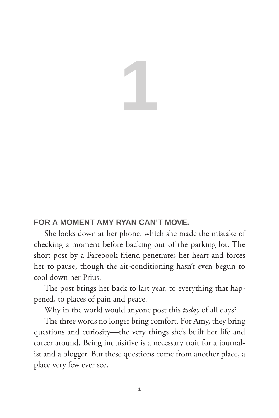# **1**

## **FOR A MOMENT AMY RYAN CAN'T MOVE.**

She looks down at her phone, which she made the mistake of checking a moment before backing out of the parking lot. The short post by a Facebook friend penetrates her heart and forces her to pause, though the air-conditioning hasn't even begun to cool down her Prius.

The post brings her back to last year, to everything that happened, to places of pain and peace.

Why in the world would anyone post this *today* of all days?

The three words no longer bring comfort. For Amy, they bring questions and curiosity—the very things she's built her life and career around. Being inquisitive is a necessary trait for a journalist and a blogger. But these questions come from another place, a place very few ever see.